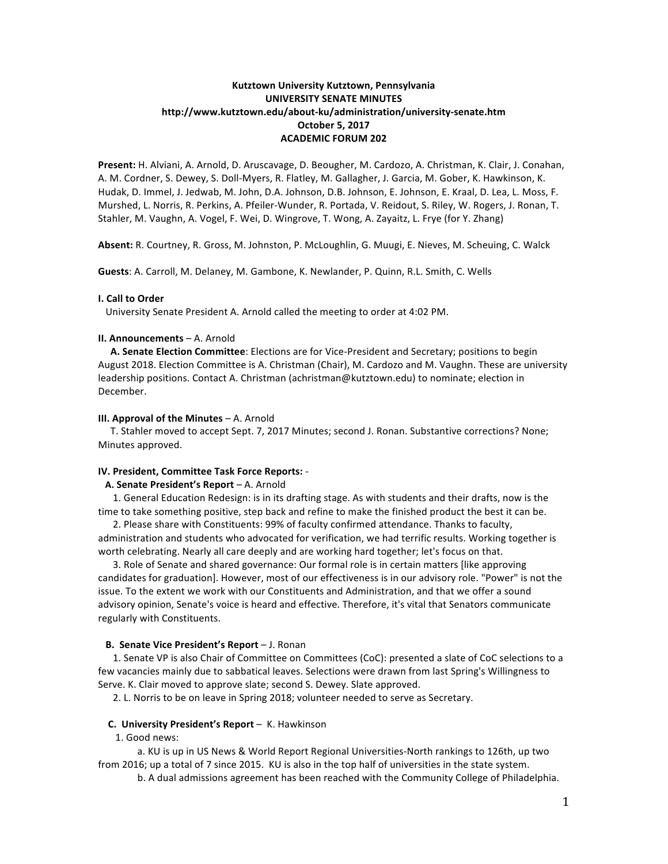# **Kutztown University Kutztown, Pennsylvania UNIVERSITY SENATE MINUTES http://www.kutztown.edu/about-ku/administration/university-senate.htm October 5, 2017 ACADEMIC FORUM 202**

Present: H. Alviani, A. Arnold, D. Aruscavage, D. Beougher, M. Cardozo, A. Christman, K. Clair, J. Conahan, A. M. Cordner, S. Dewey, S. Doll-Myers, R. Flatley, M. Gallagher, J. Garcia, M. Gober, K. Hawkinson, K. Hudak, D. Immel, J. Jedwab, M. John, D.A. Johnson, D.B. Johnson, E. Johnson, E. Kraal, D. Lea, L. Moss, F. Murshed, L. Norris, R. Perkins, A. Pfeiler-Wunder, R. Portada, V. Reidout, S. Riley, W. Rogers, J. Ronan, T. Stahler, M. Vaughn, A. Vogel, F. Wei, D. Wingrove, T. Wong, A. Zayaitz, L. Frye (for Y. Zhang)

Absent: R. Courtney, R. Gross, M. Johnston, P. McLoughlin, G. Muugi, E. Nieves, M. Scheuing, C. Walck

**Guests**: A. Carroll, M. Delaney, M. Gambone, K. Newlander, P. Quinn, R.L. Smith, C. Wells

### **I. Call to Order**

University Senate President A. Arnold called the meeting to order at 4:02 PM.

### **II. Announcements** – A. Arnold

A. **Senate Election Committee**: Elections are for Vice-President and Secretary; positions to begin August 2018. Election Committee is A. Christman (Chair), M. Cardozo and M. Vaughn. These are university leadership positions. Contact A. Christman (achristman@kutztown.edu) to nominate; election in December.

#### **III. Approval of the Minutes** – A. Arnold

T. Stahler moved to accept Sept. 7, 2017 Minutes; second J. Ronan. Substantive corrections? None; Minutes approved.

#### **IV. President, Committee Task Force Reports:** -

### **A. Senate President's Report** – A. Arnold

1. General Education Redesign: is in its drafting stage. As with students and their drafts, now is the time to take something positive, step back and refine to make the finished product the best it can be.

2. Please share with Constituents: 99% of faculty confirmed attendance. Thanks to faculty, administration and students who advocated for verification, we had terrific results. Working together is worth celebrating. Nearly all care deeply and are working hard together; let's focus on that.

3. Role of Senate and shared governance: Our formal role is in certain matters [like approving candidates for graduation]. However, most of our effectiveness is in our advisory role. "Power" is not the issue. To the extent we work with our Constituents and Administration, and that we offer a sound advisory opinion, Senate's voice is heard and effective. Therefore, it's vital that Senators communicate regularly with Constituents.

#### **B.** Senate Vice President's Report – J. Ronan

1. Senate VP is also Chair of Committee on Committees (CoC): presented a slate of CoC selections to a few vacancies mainly due to sabbatical leaves. Selections were drawn from last Spring's Willingness to Serve. K. Clair moved to approve slate; second S. Dewey. Slate approved.

2. L. Norris to be on leave in Spring 2018; volunteer needed to serve as Secretary.

### **C. University President's Report** – K. Hawkinson

1. Good news:

a. KU is up in US News & World Report Regional Universities-North rankings to 126th, up two from 2016; up a total of 7 since 2015. KU is also in the top half of universities in the state system.

b. A dual admissions agreement has been reached with the Community College of Philadelphia.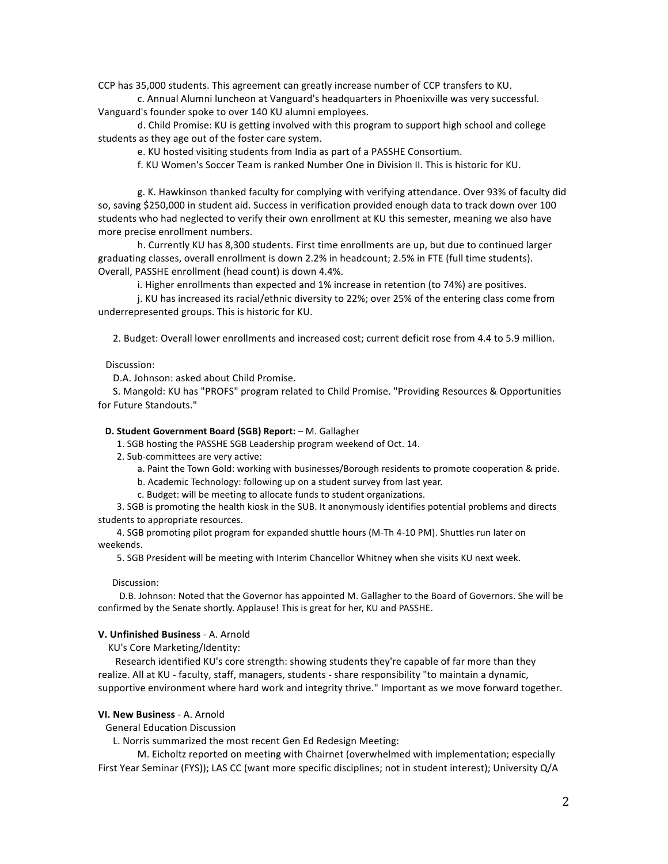CCP has 35,000 students. This agreement can greatly increase number of CCP transfers to KU.

c. Annual Alumni luncheon at Vanguard's headquarters in Phoenixville was very successful. Vanguard's founder spoke to over 140 KU alumni employees.

d. Child Promise: KU is getting involved with this program to support high school and college students as they age out of the foster care system.

e. KU hosted visiting students from India as part of a PASSHE Consortium.

f. KU Women's Soccer Team is ranked Number One in Division II. This is historic for KU.

g. K. Hawkinson thanked faculty for complying with verifying attendance. Over 93% of faculty did so, saving \$250,000 in student aid. Success in verification provided enough data to track down over 100 students who had neglected to verify their own enrollment at KU this semester, meaning we also have more precise enrollment numbers.

h. Currently KU has 8,300 students. First time enrollments are up, but due to continued larger graduating classes, overall enrollment is down 2.2% in headcount; 2.5% in FTE (full time students). Overall, PASSHE enrollment (head count) is down 4.4%.

i. Higher enrollments than expected and 1% increase in retention (to 74%) are positives.

j. KU has increased its racial/ethnic diversity to 22%; over 25% of the entering class come from underrepresented groups. This is historic for KU.

2. Budget: Overall lower enrollments and increased cost; current deficit rose from 4.4 to 5.9 million.

 Discussion:

D.A. Johnson: asked about Child Promise.

S. Mangold: KU has "PROFS" program related to Child Promise. "Providing Resources & Opportunities for Future Standouts."

### **D. Student Government Board (SGB) Report:** - M. Gallagher

1. SGB hosting the PASSHE SGB Leadership program weekend of Oct. 14.

2. Sub-committees are very active:

- a. Paint the Town Gold: working with businesses/Borough residents to promote cooperation & pride.
- b. Academic Technology: following up on a student survey from last year.

c. Budget: will be meeting to allocate funds to student organizations.

3. SGB is promoting the health kiosk in the SUB. It anonymously identifies potential problems and directs students to appropriate resources.

4. SGB promoting pilot program for expanded shuttle hours (M-Th 4-10 PM). Shuttles run later on weekends.

5. SGB President will be meeting with Interim Chancellor Whitney when she visits KU next week.

### Discussion:

D.B. Johnson: Noted that the Governor has appointed M. Gallagher to the Board of Governors. She will be confirmed by the Senate shortly. Applause! This is great for her, KU and PASSHE.

### **V. Unfinished Business - A. Arnold**

KU's Core Marketing/Identity:

Research identified KU's core strength: showing students they're capable of far more than they realize. All at KU - faculty, staff, managers, students - share responsibility "to maintain a dynamic, supportive environment where hard work and integrity thrive." Important as we move forward together.

#### **VI. New Business** - A. Arnold

General Education Discussion

L. Norris summarized the most recent Gen Ed Redesign Meeting:

M. Eicholtz reported on meeting with Chairnet (overwhelmed with implementation; especially First Year Seminar (FYS)); LAS CC (want more specific disciplines; not in student interest); University Q/A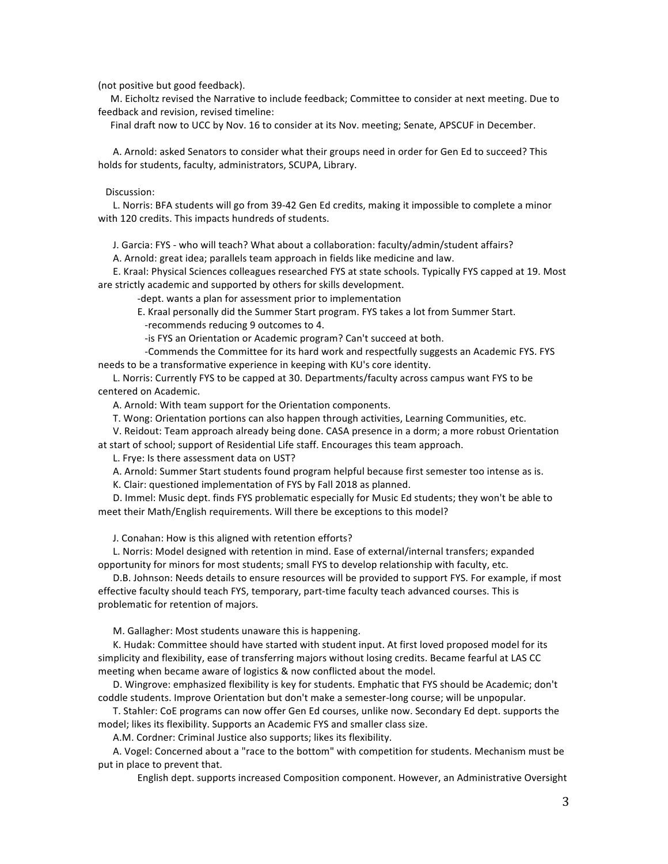(not positive but good feedback).

M. Eicholtz revised the Narrative to include feedback; Committee to consider at next meeting. Due to feedback and revision, revised timeline:

Final draft now to UCC by Nov. 16 to consider at its Nov. meeting; Senate, APSCUF in December.

A. Arnold: asked Senators to consider what their groups need in order for Gen Ed to succeed? This holds for students, faculty, administrators, SCUPA, Library.

 Discussion:

L. Norris: BFA students will go from 39-42 Gen Ed credits, making it impossible to complete a minor with 120 credits. This impacts hundreds of students.

J. Garcia: FYS - who will teach? What about a collaboration: faculty/admin/student affairs?

A. Arnold: great idea; parallels team approach in fields like medicine and law.

E. Kraal: Physical Sciences colleagues researched FYS at state schools. Typically FYS capped at 19. Most are strictly academic and supported by others for skills development.

-dept. wants a plan for assessment prior to implementation

E. Kraal personally did the Summer Start program. FYS takes a lot from Summer Start.

-recommends reducing 9 outcomes to 4.

-is FYS an Orientation or Academic program? Can't succeed at both.

-Commends the Committee for its hard work and respectfully suggests an Academic FYS. FYS needs to be a transformative experience in keeping with KU's core identity.

L. Norris: Currently FYS to be capped at 30. Departments/faculty across campus want FYS to be centered on Academic.

A. Arnold: With team support for the Orientation components.

T. Wong: Orientation portions can also happen through activities, Learning Communities, etc.

V. Reidout: Team approach already being done. CASA presence in a dorm; a more robust Orientation at start of school; support of Residential Life staff. Encourages this team approach.

L. Frye: Is there assessment data on UST?

A. Arnold: Summer Start students found program helpful because first semester too intense as is.

K. Clair: questioned implementation of FYS by Fall 2018 as planned.

D. Immel: Music dept. finds FYS problematic especially for Music Ed students; they won't be able to meet their Math/English requirements. Will there be exceptions to this model?

J. Conahan: How is this aligned with retention efforts?

L. Norris: Model designed with retention in mind. Ease of external/internal transfers; expanded opportunity for minors for most students; small FYS to develop relationship with faculty, etc.

D.B. Johnson: Needs details to ensure resources will be provided to support FYS. For example, if most effective faculty should teach FYS, temporary, part-time faculty teach advanced courses. This is problematic for retention of majors.

M. Gallagher: Most students unaware this is happening.

K. Hudak: Committee should have started with student input. At first loved proposed model for its simplicity and flexibility, ease of transferring majors without losing credits. Became fearful at LAS CC meeting when became aware of logistics & now conflicted about the model.

D. Wingrove: emphasized flexibility is key for students. Emphatic that FYS should be Academic; don't coddle students. Improve Orientation but don't make a semester-long course; will be unpopular.

T. Stahler: CoE programs can now offer Gen Ed courses, unlike now. Secondary Ed dept. supports the model; likes its flexibility. Supports an Academic FYS and smaller class size.

A.M. Cordner: Criminal Justice also supports; likes its flexibility.

A. Vogel: Concerned about a "race to the bottom" with competition for students. Mechanism must be put in place to prevent that.

English dept. supports increased Composition component. However, an Administrative Oversight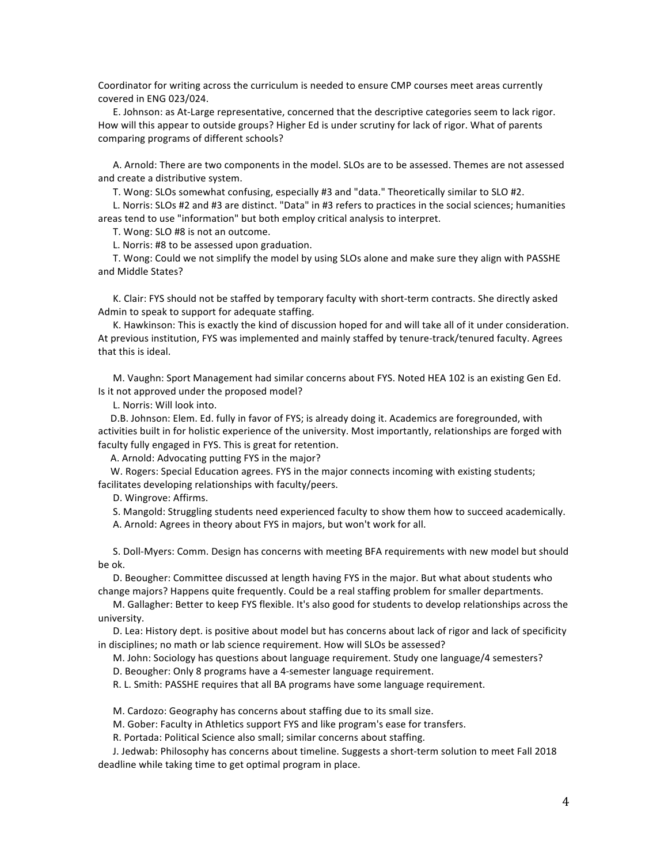Coordinator for writing across the curriculum is needed to ensure CMP courses meet areas currently covered in ENG 023/024.

E. Johnson: as At-Large representative, concerned that the descriptive categories seem to lack rigor. How will this appear to outside groups? Higher Ed is under scrutiny for lack of rigor. What of parents comparing programs of different schools?

A. Arnold: There are two components in the model. SLOs are to be assessed. Themes are not assessed and create a distributive system.

T. Wong: SLOs somewhat confusing, especially #3 and "data." Theoretically similar to SLO #2.

L. Norris: SLOs #2 and #3 are distinct. "Data" in #3 refers to practices in the social sciences; humanities areas tend to use "information" but both employ critical analysis to interpret.

T. Wong: SLO #8 is not an outcome.

L. Norris: #8 to be assessed upon graduation.

T. Wong: Could we not simplify the model by using SLOs alone and make sure they align with PASSHE and Middle States?

K. Clair: FYS should not be staffed by temporary faculty with short-term contracts. She directly asked Admin to speak to support for adequate staffing.

K. Hawkinson: This is exactly the kind of discussion hoped for and will take all of it under consideration. At previous institution, FYS was implemented and mainly staffed by tenure-track/tenured faculty. Agrees that this is ideal.

M. Vaughn: Sport Management had similar concerns about FYS. Noted HEA 102 is an existing Gen Ed. Is it not approved under the proposed model?

L. Norris: Will look into.

D.B. Johnson: Elem. Ed. fully in favor of FYS; is already doing it. Academics are foregrounded, with activities built in for holistic experience of the university. Most importantly, relationships are forged with faculty fully engaged in FYS. This is great for retention.

A. Arnold: Advocating putting FYS in the major?

W. Rogers: Special Education agrees. FYS in the major connects incoming with existing students; facilitates developing relationships with faculty/peers.

D. Wingrove: Affirms.

S. Mangold: Struggling students need experienced faculty to show them how to succeed academically.

A. Arnold: Agrees in theory about FYS in majors, but won't work for all.

S. Doll-Myers: Comm. Design has concerns with meeting BFA requirements with new model but should be ok.

D. Beougher: Committee discussed at length having FYS in the major. But what about students who change majors? Happens quite frequently. Could be a real staffing problem for smaller departments.

M. Gallagher: Better to keep FYS flexible. It's also good for students to develop relationships across the university.

D. Lea: History dept. is positive about model but has concerns about lack of rigor and lack of specificity in disciplines; no math or lab science requirement. How will SLOs be assessed?

M. John: Sociology has questions about language requirement. Study one language/4 semesters?

D. Beougher: Only 8 programs have a 4-semester language requirement.

R. L. Smith: PASSHE requires that all BA programs have some language requirement.

M. Cardozo: Geography has concerns about staffing due to its small size.

M. Gober: Faculty in Athletics support FYS and like program's ease for transfers.

R. Portada: Political Science also small; similar concerns about staffing.

J. Jedwab: Philosophy has concerns about timeline. Suggests a short-term solution to meet Fall 2018 deadline while taking time to get optimal program in place.